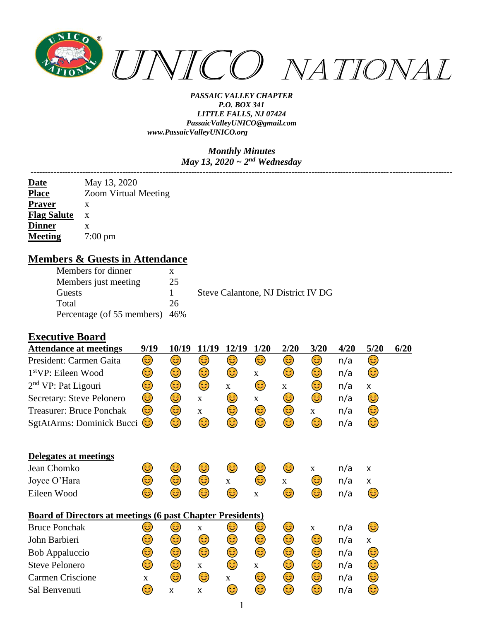

#### *Monthly Minutes May 13, 2020 ~ 2nd Wednesday*

|                    | May 13, 2020                |
|--------------------|-----------------------------|
| Date<br>Place      | <b>Zoom Virtual Meeting</b> |
| <b>Prayer</b>      | x                           |
| <b>Flag Salute</b> | $\mathbf{X}$                |
| <b>Dinner</b>      | x                           |
| <b>Meeting</b>     | $7:00 \text{ pm}$           |

### **Members & Guests in Attendance**

| Members for dinner             |    |                                    |
|--------------------------------|----|------------------------------------|
| Members just meeting           | 25 |                                    |
| Guests                         |    | Steve Calantone, NJ District IV DG |
| Total                          | 26 |                                    |
| Percentage (of 55 members) 46% |    |                                    |

### **Executive Board**

| <b>Attendance at meetings</b>                                     | 9/19 | 10/19 | 11/19       | 12/19        | 1/20         | 2/20 | 3/20        | 4/20 | 5/20 | 6/20 |
|-------------------------------------------------------------------|------|-------|-------------|--------------|--------------|------|-------------|------|------|------|
| President: Carmen Gaita                                           | 3)   | 3)    | 3)          | 3)           | 3)           | 3)   | 3)          | n/a  | 3)   |      |
| 1 <sup>st</sup> VP: Eileen Wood                                   | 3)   | 3     | 3)          | 3)           | $\mathbf X$  | 3)   | 3)          | n/a  | 3)   |      |
| $2nd$ VP: Pat Ligouri                                             | 3    | ٢     | ٢           | $\mathbf{X}$ | 3)           | X    | 3)          | n/a  | X    |      |
| Secretary: Steve Pelonero                                         | ٢    | ٢     | $\mathbf X$ | 3)           | $\mathbf X$  | ٢    | ٢           | n/a  | 3)   |      |
| <b>Treasurer: Bruce Ponchak</b>                                   | 3)   | 3)    | $\mathbf X$ | ٢            | 3)           | 3)   | $\mathbf X$ | n/a  | 3    |      |
| SgtAtArms: Dominick Bucci                                         | 3)   | ☺     | 3           | 3            | 3            | 3    | ٤           | n/a  | ٢    |      |
| Delegates at meetings                                             |      |       |             |              |              |      |             |      |      |      |
| Jean Chomko                                                       | 3    | 3)    | 3)          | 3)           | 3)           | 3)   | $\mathbf X$ | n/a  | X    |      |
| Joyce O'Hara                                                      | 3    | 3     | ٢           | $\mathbf{X}$ | 3)           | X    | 3)          | n/a  | X    |      |
| Eileen Wood                                                       | 3    | 3     | 3           | 3            | $\mathbf{X}$ | 3    | 3           | n/a  | 3)   |      |
| <b>Board of Directors at meetings (6 past Chapter Presidents)</b> |      |       |             |              |              |      |             |      |      |      |
| <b>Bruce Ponchak</b>                                              | ಡ    | 3     | $\mathbf X$ | ತಿ           | 3)           | 3)   | $\mathbf X$ | n/a  | 3)   |      |
| John Barbieri                                                     | 3    | 3     | 3           | 3)           | 3            | ٢    | ٢           | n/a  | X    |      |
| Bob Appaluccio                                                    | ٢    | ٢     | ٢           | ☺            | ٢            | 3    | 3)          | n/a  | 3)   |      |
| <b>Steve Pelonero</b>                                             | 3)   | 3)    | X           | 3)           | $\mathbf X$  | 3)   | 3)          | n/a  | 3)   |      |
| Carmen Criscione                                                  | X    | 3)    | ٢           | $\mathbf{X}$ | 3)           | ٢    | 3)          | n/a  | ٢    |      |
| Sal Benvenuti                                                     | 3    | X     | X           | 3)           | 3            | 3    | 3           | n/a  | ٢    |      |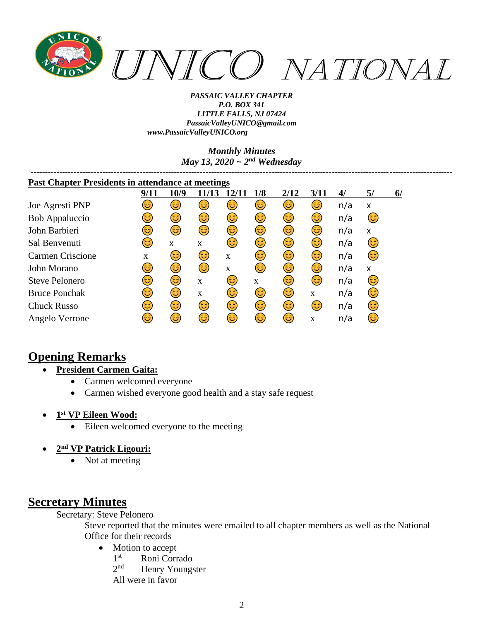

> *Monthly Minutes May 13, 2020 ~ 2nd Wednesday*

| <b>Past Chapter Presidents in attendance at meetings</b> |            |      |             |              |     |      |             |     |    |    |
|----------------------------------------------------------|------------|------|-------------|--------------|-----|------|-------------|-----|----|----|
|                                                          | 9/11       | 10/9 | 11/13       | <b>12/11</b> | 1/8 | 2/12 | 3/11        | 4/  | 5/ | 6/ |
| Joe Agresti PNP                                          | ತಿ         | 3)   | 3)          | 3)           | 3)  | ٢    | 3           | n/a | x  |    |
| Bob Appaluccio                                           | 3)         | 3)   | 3)          | 3)           | 3)  | ٢    | 3)          | n/a | 3) |    |
| John Barbieri                                            | 3          | 3    | 6           | 3)           | 3)  | ٢    | 3)          | n/a | X  |    |
| Sal Benvenuti                                            | 3          | X    | x           | 3            | 3   | ٢    | 3           | n/a | 3) |    |
| Carmen Criscione                                         | X          | 3    | 3           | X            | 3)  | 3)   | 3)          | n/a | 3  |    |
| John Morano                                              | 3          | 3    | (3          | X            | 3   | ٢    | 6           | n/a | X  |    |
| Steve Pelonero                                           | <u>(ಚಿ</u> | 3    | X           | 3)           | X   | 3    | 3           | n/a | 3) |    |
| <b>Bruce Ponchak</b>                                     | 3          | 3    | $\mathbf X$ | 3)           | 3)  | 3    | $\mathbf X$ | n/a | 3) |    |
| <b>Chuck Russo</b>                                       | 3          | 3)   | 3)          | ٢            | 3)  | ٢    | 3           | n/a | 3  |    |
| Angelo Verrone                                           | 3          | 3)   | 3           | 3)           | 3   | 3    | X           | n/a | 3  |    |

# **Opening Remarks**

- **President Carmen Gaita:**
	- Carmen welcomed everyone
	- Carmen wished everyone good health and a stay safe request
- **1 st VP Eileen Wood:**
	- Eileen welcomed everyone to the meeting
- **2 nd VP Patrick Ligouri:**
	- Not at meeting

# **Secretary Minutes**

Secretary: Steve Pelonero

Steve reported that the minutes were emailed to all chapter members as well as the National Office for their records

- Motion to accept
	- $1<sup>st</sup>$ Roni Corrado
	- $2<sub>nd</sub>$ Henry Youngster

All were in favor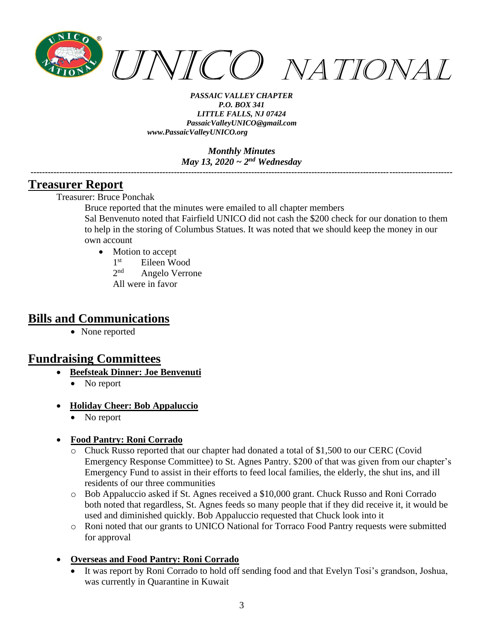

> *Monthly Minutes May 13, 2020 ~ 2nd Wednesday*

*---------------------------------------------------------------------------------------------------------------------------------------------------*

### **Treasurer Report**

Treasurer: Bruce Ponchak

Bruce reported that the minutes were emailed to all chapter members Sal Benvenuto noted that Fairfield UNICO did not cash the \$200 check for our donation to them to help in the storing of Columbus Statues. It was noted that we should keep the money in our own account

- Motion to accept
	- $1^{\rm st}$ Eileen Wood

 $2^{nd}$ Angelo Verrone

All were in favor

### **Bills and Communications**

• None reported

## **Fundraising Committees**

- **Beefsteak Dinner: Joe Benvenuti**
	- No report
- **Holiday Cheer: Bob Appaluccio**
	- No report
- **Food Pantry: Roni Corrado**
	- o Chuck Russo reported that our chapter had donated a total of \$1,500 to our CERC (Covid Emergency Response Committee) to St. Agnes Pantry. \$200 of that was given from our chapter's Emergency Fund to assist in their efforts to feed local families, the elderly, the shut ins, and ill residents of our three communities
	- o Bob Appaluccio asked if St. Agnes received a \$10,000 grant. Chuck Russo and Roni Corrado both noted that regardless, St. Agnes feeds so many people that if they did receive it, it would be used and diminished quickly. Bob Appaluccio requested that Chuck look into it
	- o Roni noted that our grants to UNICO National for Torraco Food Pantry requests were submitted for approval

### • **Overseas and Food Pantry: Roni Corrado**

It was report by Roni Corrado to hold off sending food and that Evelyn Tosi's grandson, Joshua, was currently in Quarantine in Kuwait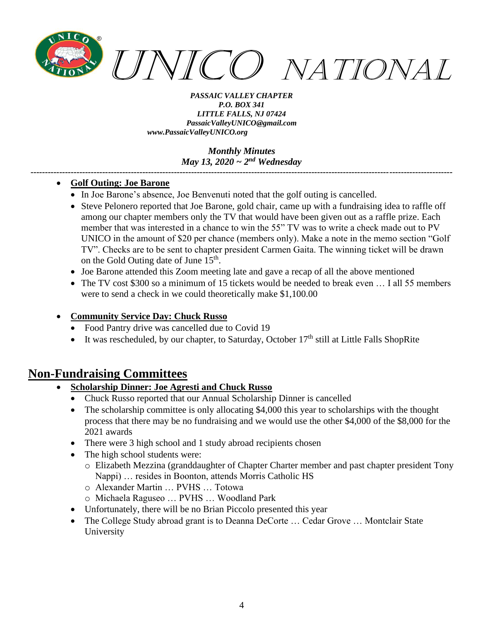

#### *Monthly Minutes May 13, 2020 ~ 2nd Wednesday*

*---------------------------------------------------------------------------------------------------------------------------------------------------*

#### • **Golf Outing: Joe Barone**

- In Joe Barone's absence, Joe Benvenuti noted that the golf outing is cancelled.
- Steve Pelonero reported that Joe Barone, gold chair, came up with a fundraising idea to raffle off among our chapter members only the TV that would have been given out as a raffle prize. Each member that was interested in a chance to win the 55" TV was to write a check made out to PV UNICO in the amount of \$20 per chance (members only). Make a note in the memo section "Golf TV". Checks are to be sent to chapter president Carmen Gaita. The winning ticket will be drawn on the Gold Outing date of June 15<sup>th</sup>.
- Joe Barone attended this Zoom meeting late and gave a recap of all the above mentioned
- The TV cost \$300 so a minimum of 15 tickets would be needed to break even ... I all 55 members were to send a check in we could theoretically make \$1,100.00
- **Community Service Day: Chuck Russo**
	- Food Pantry drive was cancelled due to Covid 19
	- It was rescheduled, by our chapter, to Saturday, October  $17<sup>th</sup>$  still at Little Falls ShopRite

### **Non-Fundraising Committees**

- **Scholarship Dinner: Joe Agresti and Chuck Russo**
	- Chuck Russo reported that our Annual Scholarship Dinner is cancelled
	- The scholarship committee is only allocating \$4,000 this year to scholarships with the thought process that there may be no fundraising and we would use the other \$4,000 of the \$8,000 for the 2021 awards
	- There were 3 high school and 1 study abroad recipients chosen
	- The high school students were:
		- o Elizabeth Mezzina (granddaughter of Chapter Charter member and past chapter president Tony Nappi) … resides in Boonton, attends Morris Catholic HS
		- o Alexander Martin … PVHS … Totowa
		- o Michaela Raguseo … PVHS … Woodland Park
	- Unfortunately, there will be no Brian Piccolo presented this year
	- The College Study abroad grant is to Deanna DeCorte ... Cedar Grove ... Montclair State University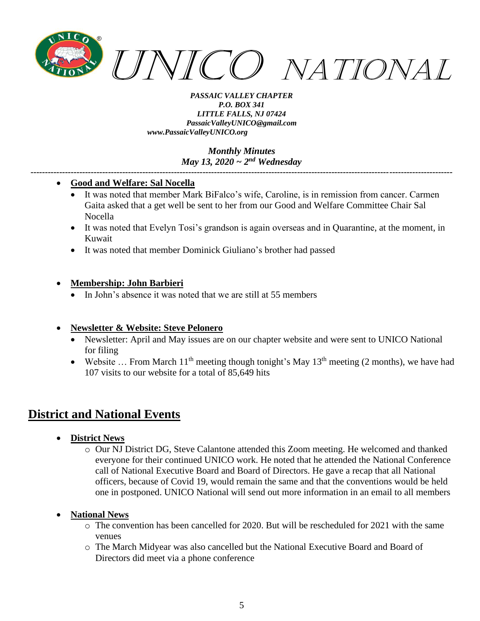

> *Monthly Minutes May 13, 2020 ~ 2nd Wednesday*

*---------------------------------------------------------------------------------------------------------------------------------------------------*

#### • **Good and Welfare: Sal Nocella**

- It was noted that member Mark BiFalco's wife, Caroline, is in remission from cancer. Carmen Gaita asked that a get well be sent to her from our Good and Welfare Committee Chair Sal Nocella
- It was noted that Evelyn Tosi's grandson is again overseas and in Quarantine, at the moment, in Kuwait
- It was noted that member Dominick Giuliano's brother had passed

### • **Membership: John Barbieri**

In John's absence it was noted that we are still at 55 members

### • **Newsletter & Website: Steve Pelonero**

- Newsletter: April and May issues are on our chapter website and were sent to UNICO National for filing
- Website ... From March  $11<sup>th</sup>$  meeting though tonight's May  $13<sup>th</sup>$  meeting (2 months), we have had 107 visits to our website for a total of 85,649 hits

# **District and National Events**

- **District News**
	- o Our NJ District DG, Steve Calantone attended this Zoom meeting. He welcomed and thanked everyone for their continued UNICO work. He noted that he attended the National Conference call of National Executive Board and Board of Directors. He gave a recap that all National officers, because of Covid 19, would remain the same and that the conventions would be held one in postponed. UNICO National will send out more information in an email to all members

### • **National News**

- $\circ$  The convention has been cancelled for 2020. But will be rescheduled for 2021 with the same venues
- o The March Midyear was also cancelled but the National Executive Board and Board of Directors did meet via a phone conference